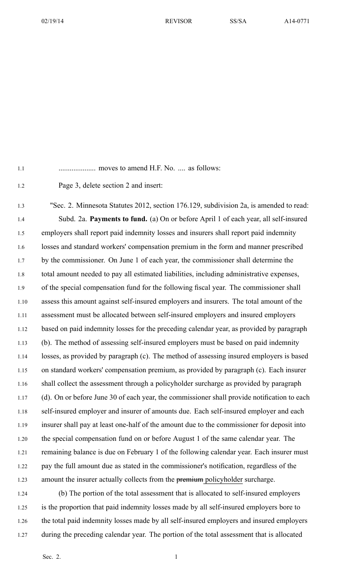02/19/14 REVISOR SS/SA A14-0771

1.1 .................... moves to amend H.F. No. .... as follows:

1.2 Page 3, delete section 2 and insert:

1.3 "Sec. 2. Minnesota Statutes 2012, section 176.129, subdivision 2a, is amended to read: 1.4 Subd. 2a. **Payments to fund.** (a) On or before April 1 of each year, all self-insured 1.5 employers shall repor<sup>t</sup> paid indemnity losses and insurers shall repor<sup>t</sup> paid indemnity 1.6 losses and standard workers' compensation premium in the form and manner prescribed 1.7 by the commissioner. On June 1 of each year, the commissioner shall determine the 1.8 total amount needed to pay all estimated liabilities, including administrative expenses, 1.9 of the special compensation fund for the following fiscal year. The commissioner shall 1.10 assess this amount against self-insured employers and insurers. The total amount of the 1.11 assessment must be allocated between self-insured employers and insured employers 1.12 based on paid indemnity losses for the preceding calendar year, as provided by paragraph 1.13 (b). The method of assessing self-insured employers must be based on paid indemnity 1.14 losses, as provided by paragraph (c). The method of assessing insured employers is based 1.15 on standard workers' compensation premium, as provided by paragraph (c). Each insurer 1.16 shall collect the assessment through <sup>a</sup> policyholder surcharge as provided by paragraph 1.17 (d). On or before June 30 of each year, the commissioner shall provide notification to each 1.18 self-insured employer and insurer of amounts due. Each self-insured employer and each 1.19 insurer shall pay at least one-half of the amount due to the commissioner for deposit into 1.20 the special compensation fund on or before August 1 of the same calendar year. The 1.21 remaining balance is due on February 1 of the following calendar year. Each insurer must 1.22 pay the full amount due as stated in the commissioner's notification, regardless of the 1.23 amount the insurer actually collects from the premium policyholder surcharge.

1.24 (b) The portion of the total assessment that is allocated to self-insured employers 1.25 is the proportion that paid indemnity losses made by all self-insured employers bore to 1.26 the total paid indemnity losses made by all self-insured employers and insured employers 1.27 during the preceding calendar year. The portion of the total assessment that is allocated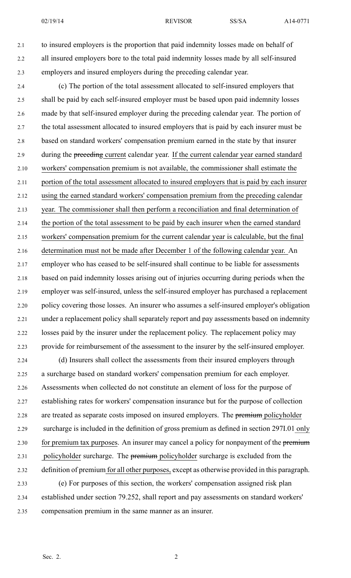02/19/14 REVISOR SS/SA A14-0771

2.1 to insured employers is the proportion that paid indemnity losses made on behalf of 2.2 all insured employers bore to the total paid indemnity losses made by all self-insured 2.3 employers and insured employers during the preceding calendar year.

2.4 (c) The portion of the total assessment allocated to self-insured employers that 2.5 shall be paid by each self-insured employer must be based upon paid indemnity losses 2.6 made by that self-insured employer during the preceding calendar year. The portion of 2.7 the total assessment allocated to insured employers that is paid by each insurer must be 2.8 based on standard workers' compensation premium earned in the state by that insurer 2.9 during the preceding current calendar year. If the current calendar year earned standard 2.10 workers' compensation premium is not available, the commissioner shall estimate the 2.11 portion of the total assessment allocated to insured employers that is paid by each insurer 2.12 using the earned standard workers' compensation premium from the preceding calendar 2.13 year. The commissioner shall then perform <sup>a</sup> reconciliation and final determination of 2.14 the portion of the total assessment to be paid by each insurer when the earned standard 2.15 workers' compensation premium for the current calendar year is calculable, but the final 2.16 determination must not be made after December 1 of the following calendar year. An 2.17 employer who has ceased to be self-insured shall continue to be liable for assessments 2.18 based on paid indemnity losses arising out of injuries occurring during periods when the 2.19 employer was self-insured, unless the self-insured employer has purchased <sup>a</sup> replacement 2.20 policy covering those losses. An insurer who assumes <sup>a</sup> self-insured employer's obligation 2.21 under <sup>a</sup> replacement policy shall separately repor<sup>t</sup> and pay assessments based on indemnity 2.22 losses paid by the insurer under the replacement policy. The replacement policy may 2.23 provide for reimbursement of the assessment to the insurer by the self-insured employer.

2.24 (d) Insurers shall collect the assessments from their insured employers through 2.25 <sup>a</sup> surcharge based on standard workers' compensation premium for each employer. 2.26 Assessments when collected do not constitute an element of loss for the purpose of 2.27 establishing rates for workers' compensation insurance but for the purpose of collection 2.28 are treated as separate costs imposed on insured employers. The premium policyholder 2.29 surcharge is included in the definition of gross premium as defined in section 297I.01 only 2.30 for premium tax purposes. An insurer may cancel a policy for nonpayment of the premium 2.31 policyholder surcharge. The premium policyholder surcharge is excluded from the 2.32 definition of premium for all other purposes, excep<sup>t</sup> as otherwise provided in this paragraph. 2.33 (e) For purposes of this section, the workers' compensation assigned risk plan 2.34 established under section 79.252, shall repor<sup>t</sup> and pay assessments on standard workers' 2.35 compensation premium in the same manner as an insurer.